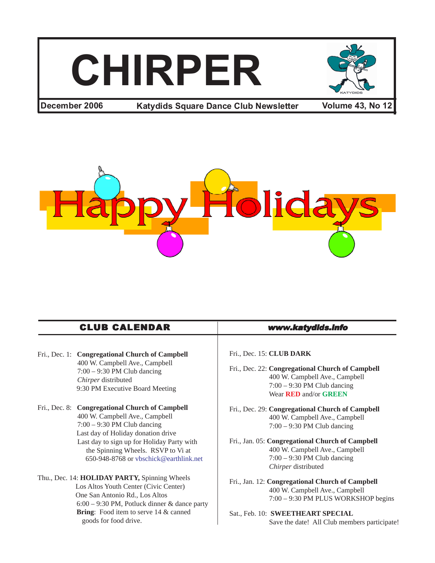# **CHIRPER**



**December 2006 68 / Andruids Square Dance Club Newsletter 6 / Volume 43, No 12** 



| Fri., Dec. 1: Congregational Church of Campbell<br>400 W. Campbell Ave., Campbell<br>$7:00 - 9:30$ PM Club dancing<br>Chirper distributed<br>9:30 PM Executive Board Meeting | Fr<br>Fr |
|------------------------------------------------------------------------------------------------------------------------------------------------------------------------------|----------|
| Fri., Dec. 8: Congregational Church of Campbell                                                                                                                              | Fr       |

- 400 W. Campbell Ave., Campbell 7:00 – 9:30 PM Club dancing Last day of Holiday donation drive Last day to sign up for Holiday Party with the Spinning Wheels. RSVP to Vi at 650-948-8768 or vbschick@earthlink.net
- Thu., Dec. 14: **HOLIDAY PARTY,** Spinning Wheels Los Altos Youth Center (Civic Center) One San Antonio Rd., Los Altos 6:00 – 9:30 PM, Potluck dinner & dance party Bring: Food item to serve 14 & canned goods for food drive.

#### CLUB CALENDAR www.katydids.info

#### i., Dec. 15: **CLUB DARK**

- i., Dec. 22: Congregational Church of Campbell 400 W. Campbell Ave., Campbell 7:00 – 9:30 PM Club dancing Wear **RED** and/or **GREEN**
- i., Dec. 29: Congregational Church of Campbell 400 W. Campbell Ave., Campbell 7:00 – 9:30 PM Club dancing
- Fri., Jan. 05: **Congregational Church of Campbell** 400 W. Campbell Ave., Campbell 7:00 – 9:30 PM Club dancing *Chirper* distributed
- Fri., Jan. 12: **Congregational Church of Campbell** 400 W. Campbell Ave., Campbell 7:00 – 9:30 PM PLUS WORKSHOP begins
- Sat., Feb. 10: **SWEETHEART SPECIAL** Save the date! All Club members participate!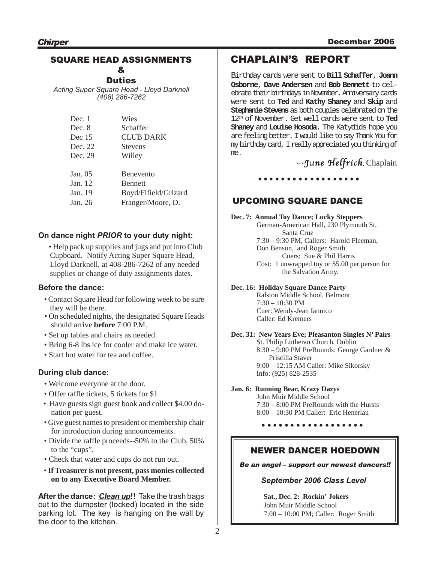#### SQUARE HEAD ASSIGNMENTS &

**Duties** 

*Acting Super Square Head - Lloyd Darknell (408) 286-7262*

| Dec. 1   | Wies                 |
|----------|----------------------|
| Dec. 8   | Schaffer             |
| Dec $15$ | <b>CLUB DARK</b>     |
| Dec. 22  | <b>Stevens</b>       |
| Dec. 29  | Willey               |
|          |                      |
| Jan. 05  | <b>Benevento</b>     |
| Jan. 12  | <b>Bennett</b>       |
| Jan. 19  | Boyd/Fifield/Grizard |
| Jan. 26  | Franger/Moore, D.    |
|          |                      |

#### **On dance night** *PRIOR* **to your duty night:**

• Help pack up supplies and jugs and put into Club Cupboard. Notify Acting Super Square Head, Lloyd Darknell, at 408-286-7262 of any needed supplies or change of duty assignments dates.

#### **Before the dance:**

- Contact Square Head for following week to be sure they will be there.
- On scheduled nights, the designated Square Heads should arrive **before** 7:00 P.M.
- Set up tables and chairs as needed.
- Bring 6-8 lbs ice for cooler and make ice water.
- Start hot water for tea and coffee.

#### **During club dance:**

- Welcome everyone at the door.
- Offer raffle tickets, 5 tickets for \$1
- Have guests sign guest book and collect \$4.00 donation per guest.
- Give guest names to president or membership chair for introduction during announcements.
- Divide the raffle proceeds--50% to the Club, 50% to the "cups".
- Check that water and cups do not run out.
- **If Treasurer is not present, pass monies collected on to any Executive Board Member.**

**After the dance:** *Clean up***!!** Take the trash bags out to the dumpster (locked) located in the side parking lot. The key is hanging on the wall by the door to the kitchen.

### CHAPLAIN'S REPORT

Birthday cards were sent to **Bill Schaffer**, **Joann Osborne**, **Dave Andersen** and **Bob Bennett** to celebrate their birthdays in November. Anniversary cards were sent to **Ted** and **Kathy Shaney** and **Skip** and **Stephanie Stevens** as both couples celebrated on the 12th of November. Get well cards were sent to **Ted Shaney** and **Louise Hosoda**. The Katydids hope you are feeling better. I would like to say Thank You for my birthday card, I really appreciated you thinking of me.

 $\sim$ June Helfrích, Chaplain

○○○○○○○○○ ○○○○○○○○○

#### UPCOMING SQUARE DANCE

**Dec. 7: Annual Toy Dance; Lucky Steppers** German-American Hall, 230 Plymouth St, Santa Cruz 7:30 – 9:30 PM, Callers: Harold Fleeman, Don Benson, and Roger Smith Cuers: Sue & Phil Harris Cost: 1 unwrapped toy or \$5.00 per person for the Salvation Army.

**Dec. 16: Holiday Square Dance Party**

Ralston Middle School, Belmont  $7:30 - 10:30$  PM Cuer: Wendy-Jean Iannico Caller: Ed Kremers

**Dec. 31: New Years Eve; Pleasanton Singles N' Pairs** St. Philip Lutheran Church, Dublin 8:30 – 9:00 PM PreRounds: George Gardner & Priscilla Staver 9:00 – 12:15 AM Caller: Mike Sikorsky Info: (925) 828-2535

#### **Jan. 6: Running Bear, Krazy Dazys**

John Muir Middle School 7:30 – 8:00 PM PreRounds with the Hursts 8:00 – 10:30 PM Caller: Eric Henerlau

○○○○○○○○○ ○○○○○○○○○

#### NEWER DANCER HOEDOWN

Be an angel – support our newest dancers!!

#### *September 2006 Class Level*

**Sat., Dec. 2: Rockin' Jokers** John Muir Middle School 7:00 – 10:00 PM; Caller: Roger Smith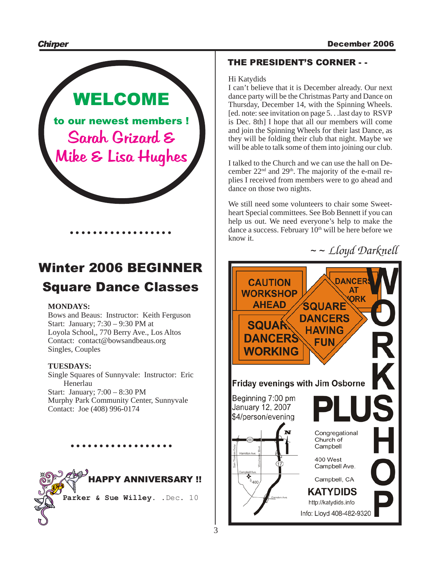

## Winter 2006 BEGINNER Square Dance Classes

#### **MONDAYS:**

Bows and Beaus: Instructor: Keith Ferguson Start: January; 7:30 – 9:30 PM at Loyola School,, 770 Berry Ave., Los Altos Contact: contact@bowsandbeaus.org Singles, Couples

#### **TUESDAYS:**

Single Squares of Sunnyvale: Instructor: Eric Henerlau Start: January; 7:00 – 8:30 PM Murphy Park Community Center, Sunnyvale Contact: Joe (408) 996-0174

○○○○○○○○○ ○○○○○○○○○



#### THE PRESIDENT'S CORNER - -

#### Hi Katydids

I can't believe that it is December already. Our next dance party will be the Christmas Party and Dance on Thursday, December 14, with the Spinning Wheels. [ed. note: see invitation on page 5. . .last day to RSVP is Dec. 8th] I hope that all our members will come and join the Spinning Wheels for their last Dance, as they will be folding their club that night. Maybe we will be able to talk some of them into joining our club.

I talked to the Church and we can use the hall on December  $22<sup>nd</sup>$  and  $29<sup>th</sup>$ . The majority of the e-mail replies I received from members were to go ahead and dance on those two nights.

We still need some volunteers to chair some Sweetheart Special committees. See Bob Bennett if you can help us out. We need everyone's help to make the dance a success. February  $10<sup>th</sup>$  will be here before we know it.

~ ~ *Lloyd Darknell*

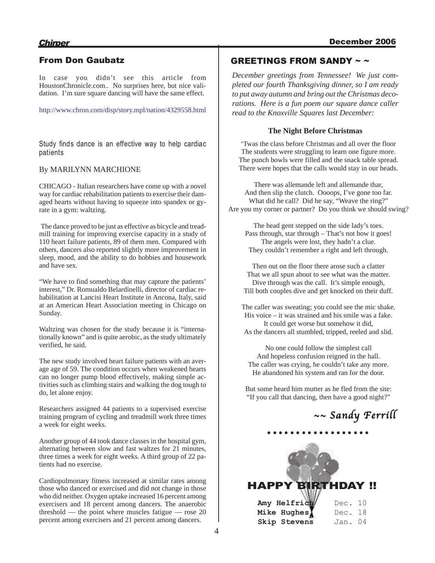#### From Don Gaubatz

In case you didn't see this article from HoustonChronicle.com.. No surprises here, but nice validation. I'm sure square dancing will have the same effect.

http://www.chron.com/disp/story.mpl/nation/4329558.html

Study finds dance is an effective way to help cardiac patients

#### By MARILYNN MARCHIONE

CHICAGO - Italian researchers have come up with a novel way for cardiac rehabilitation patients to exercise their damaged hearts without having to squeeze into spandex or gyrate in a gym: waltzing.

The dance proved to be just as effective as bicycle and treadmill training for improving exercise capacity in a study of 110 heart failure patients, 89 of them men. Compared with others, dancers also reported slightly more improvement in sleep, mood, and the ability to do hobbies and housework and have sex.

"We have to find something that may capture the patients' interest," Dr. Romualdo Belardinelli, director of cardiac rehabilitation at Lancisi Heart Institute in Ancona, Italy, said at an American Heart Association meeting in Chicago on Sunday.

Waltzing was chosen for the study because it is "internationally known" and is quite aerobic, as the study ultimately verified, he said.

The new study involved heart failure patients with an average age of 59. The condition occurs when weakened hearts can no longer pump blood effectively, making simple activities such as climbing stairs and walking the dog tough to do, let alone enjoy.

Researchers assigned 44 patients to a supervised exercise training program of cycling and treadmill work three times a week for eight weeks.

Another group of 44 took dance classes in the hospital gym, alternating between slow and fast waltzes for 21 minutes, three times a week for eight weeks. A third group of 22 patients had no exercise.

Cardiopulmonary fitness increased at similar rates among those who danced or exercised and did not change in those who did neither. Oxygen uptake increased 16 percent among exercisers and 18 percent among dancers. The anaerobic threshold — the point where muscles fatigue — rose 20 percent among exercisers and 21 percent among dancers.

#### GREETINGS FROM SANDY ~ ~

*December greetings from Tennessee! We just completed our fourth Thanksgiving dinner, so I am ready to put away autumn and bring out the Christmas decorations. Here is a fun poem our square dance caller read to the Knoxville Squares last December:*

#### **The Night Before Christmas**

'Twas the class before Christmas and all over the floor The students were struggling to learn one figure more. The punch bowls were filled and the snack table spread. There were hopes that the calls would stay in our heads.

There was allemande left and allemande thar, And then slip the clutch. Oooops, I've gone too far. What did he call? Did he say, "Weave the ring?" Are you my corner or partner? Do you think we should swing?

The head gent stepped on the side lady's toes. Pass through, star through – That's not how it goes! The angels were lost, they hadn't a clue. They couldn't remember a right and left through.

Then out on the floor there arose such a clatter That we all spun about to see what was the matter. Dive through was the call. It's simple enough, Till both couples dive and get knocked on their duff.

The caller was sweating; you could see the mic shake. His voice – it was strained and his smile was a fake. It could get worse but somehow it did, As the dancers all stumbled, tripped, reeled and slid.

No one could follow the simplest call And hopeless confusion reigned in the hall. The caller was crying, he couldn't take any more. He abandoned his system and ran for the door.

But some heard him mutter as he fled from the site: "If you call that dancing, then have a good night?"

○○○○○○○○○ ○○○○○○○○○

 $\sim$ 

## $\sim$  Sandy Ferrill

| <b>HAPPY BIRTHDAY !!</b> |         |  |
|--------------------------|---------|--|
| Amy Helfrid              | Dec. 10 |  |
| Mike Hughes              | Dec. 18 |  |
| Skip Stevens             | Jan. 04 |  |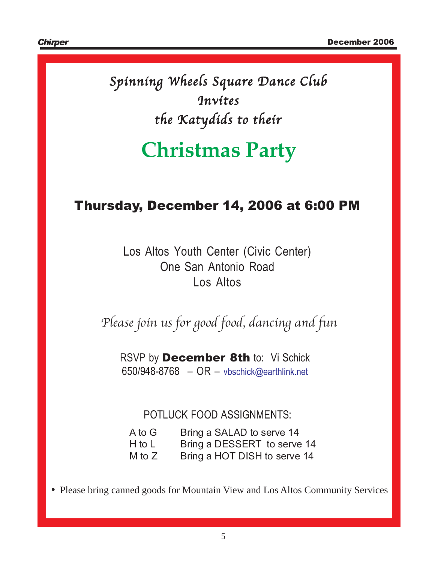Spinning Wheels Square Dance Club **Invites** the Katydids to their

## **Christmas Party**

## Thursday, December 14, 2006 at 6:00 PM

Los Altos Youth Center (Civic Center) One San Antonio Road Los Altos

Please join us for good food, dancing and fun

RSVP by **December 8th** to: Vi Schick 650/948-8768 – OR – vbschick@earthlink.net

POTLUCK FOOD ASSIGNMENTS:

| A to G   | Bring a SALAD to serve 14    |
|----------|------------------------------|
| $H$ to L | Bring a DESSERT to serve 14  |
| M to $Z$ | Bring a HOT DISH to serve 14 |

• Please bring canned goods for Mountain View and Los Altos Community Services